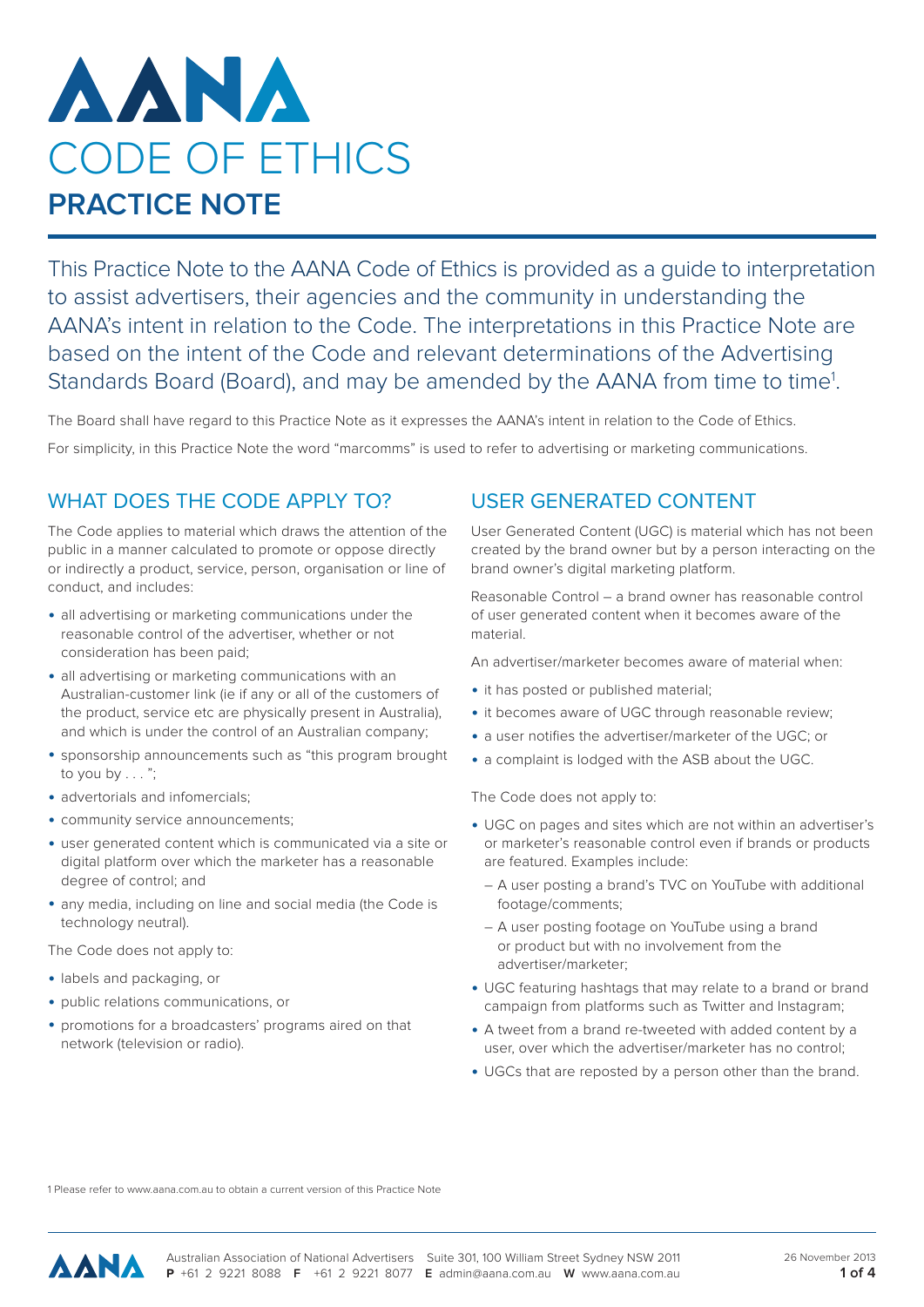

This Practice Note to the AANA Code of Ethics is provided as a guide to interpretation to assist advertisers, their agencies and the community in understanding the AANA's intent in relation to the Code. The interpretations in this Practice Note are based on the intent of the Code and relevant determinations of the Advertising Standards Board (Board), and may be amended by the AANA from time to time<sup>1</sup>.

The Board shall have regard to this Practice Note as it expresses the AANA's intent in relation to the Code of Ethics.

For simplicity, in this Practice Note the word "marcomms" is used to refer to advertising or marketing communications.

## WHAT DOES THE CODE APPLY TO?

The Code applies to material which draws the attention of the public in a manner calculated to promote or oppose directly or indirectly a product, service, person, organisation or line of conduct, and includes:

- all advertising or marketing communications under the reasonable control of the advertiser, whether or not consideration has been paid;
- all advertising or marketing communications with an Australian-customer link (ie if any or all of the customers of the product, service etc are physically present in Australia), and which is under the control of an Australian company;
- sponsorship announcements such as "this program brought to you by . . . ";
- advertorials and infomercials:
- community service announcements;
- user generated content which is communicated via a site or digital platform over which the marketer has a reasonable degree of control; and
- any media, including on line and social media (the Code is technology neutral).

The Code does not apply to:

- labels and packaging, or
- public relations communications, or
- promotions for a broadcasters' programs aired on that network (television or radio).

## USER GENERATED CONTENT

User Generated Content (UGC) is material which has not been created by the brand owner but by a person interacting on the brand owner's digital marketing platform.

Reasonable Control – a brand owner has reasonable control of user generated content when it becomes aware of the material.

An advertiser/marketer becomes aware of material when:

- it has posted or published material;
- it becomes aware of UGC through reasonable review;
- a user notifies the advertiser/marketer of the UGC; or
- a complaint is lodged with the ASB about the UGC.

The Code does not apply to:

- UGC on pages and sites which are not within an advertiser's or marketer's reasonable control even if brands or products are featured. Examples include:
	- A user posting a brand's TVC on YouTube with additional footage/comments;
	- A user posting footage on YouTube using a brand or product but with no involvement from the advertiser/marketer;
- UGC featuring hashtags that may relate to a brand or brand campaign from platforms such as Twitter and Instagram;
- A tweet from a brand re-tweeted with added content by a user, over which the advertiser/marketer has no control;
- UGCs that are reposted by a person other than the brand.

1 Please refer to www.aana.com.au to obtain a current version of this Practice Note

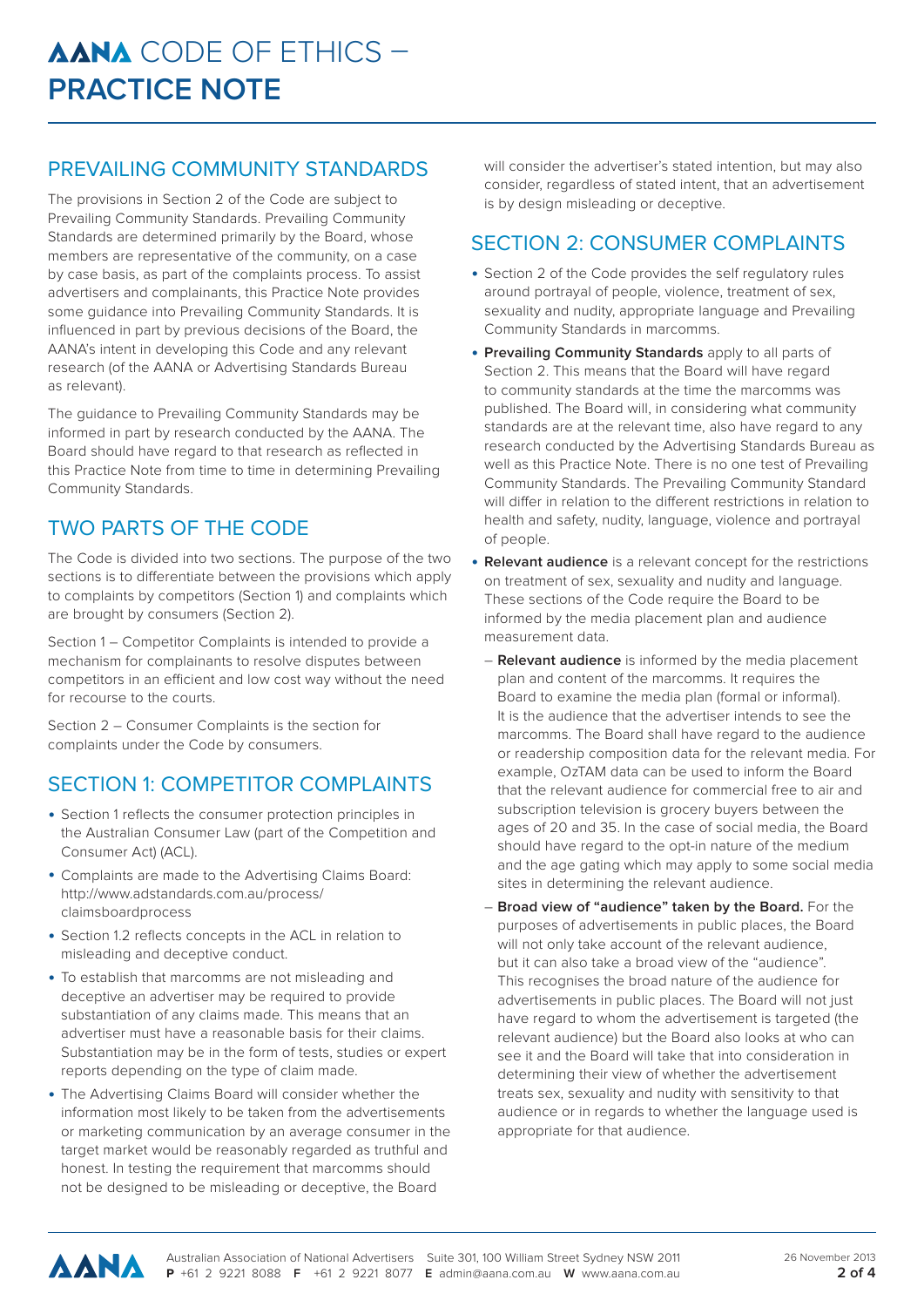## PREVAILING COMMUNITY STANDARDS

The provisions in Section 2 of the Code are subject to Prevailing Community Standards. Prevailing Community Standards are determined primarily by the Board, whose members are representative of the community, on a case by case basis, as part of the complaints process. To assist advertisers and complainants, this Practice Note provides some guidance into Prevailing Community Standards. It is influenced in part by previous decisions of the Board, the AANA's intent in developing this Code and any relevant research (of the AANA or Advertising Standards Bureau as relevant).

The guidance to Prevailing Community Standards may be informed in part by research conducted by the AANA. The Board should have regard to that research as reflected in this Practice Note from time to time in determining Prevailing Community Standards.

# TWO PARTS OF THE CODE

The Code is divided into two sections. The purpose of the two sections is to differentiate between the provisions which apply to complaints by competitors (Section 1) and complaints which are brought by consumers (Section 2).

Section 1 – Competitor Complaints is intended to provide a mechanism for complainants to resolve disputes between competitors in an efficient and low cost way without the need for recourse to the courts.

Section 2 – Consumer Complaints is the section for complaints under the Code by consumers.

# SECTION 1: COMPETITOR COMPLAINTS

- Section 1 reflects the consumer protection principles in the Australian Consumer Law (part of the Competition and Consumer Act) (ACL).
- Complaints are made to the Advertising Claims Board: http://www.adstandards.com.au/process/ claimsboardprocess
- Section 1.2 reflects concepts in the ACL in relation to misleading and deceptive conduct.
- To establish that marcomms are not misleading and deceptive an advertiser may be required to provide substantiation of any claims made. This means that an advertiser must have a reasonable basis for their claims. Substantiation may be in the form of tests, studies or expert reports depending on the type of claim made.
- The Advertising Claims Board will consider whether the information most likely to be taken from the advertisements or marketing communication by an average consumer in the target market would be reasonably regarded as truthful and honest. In testing the requirement that marcomms should not be designed to be misleading or deceptive, the Board

will consider the advertiser's stated intention, but may also consider, regardless of stated intent, that an advertisement is by design misleading or deceptive.

## SECTION 2: CONSUMER COMPLAINTS

- Section 2 of the Code provides the self regulatory rules around portrayal of people, violence, treatment of sex, sexuality and nudity, appropriate language and Prevailing Community Standards in marcomms.
- **Prevailing Community Standards** apply to all parts of Section 2. This means that the Board will have regard to community standards at the time the marcomms was published. The Board will, in considering what community standards are at the relevant time, also have regard to any research conducted by the Advertising Standards Bureau as well as this Practice Note. There is no one test of Prevailing Community Standards. The Prevailing Community Standard will differ in relation to the different restrictions in relation to health and safety, nudity, language, violence and portrayal of people.
- **Relevant audience** is a relevant concept for the restrictions on treatment of sex, sexuality and nudity and language. These sections of the Code require the Board to be informed by the media placement plan and audience measurement data.
	- **Relevant audience** is informed by the media placement plan and content of the marcomms. It requires the Board to examine the media plan (formal or informal). It is the audience that the advertiser intends to see the marcomms. The Board shall have regard to the audience or readership composition data for the relevant media. For example, OzTAM data can be used to inform the Board that the relevant audience for commercial free to air and subscription television is grocery buyers between the ages of 20 and 35. In the case of social media, the Board should have regard to the opt-in nature of the medium and the age gating which may apply to some social media sites in determining the relevant audience.
	- **Broad view of "audience" taken by the Board.** For the purposes of advertisements in public places, the Board will not only take account of the relevant audience. but it can also take a broad view of the "audience". This recognises the broad nature of the audience for advertisements in public places. The Board will not just have regard to whom the advertisement is targeted (the relevant audience) but the Board also looks at who can see it and the Board will take that into consideration in determining their view of whether the advertisement treats sex, sexuality and nudity with sensitivity to that audience or in regards to whether the language used is appropriate for that audience.

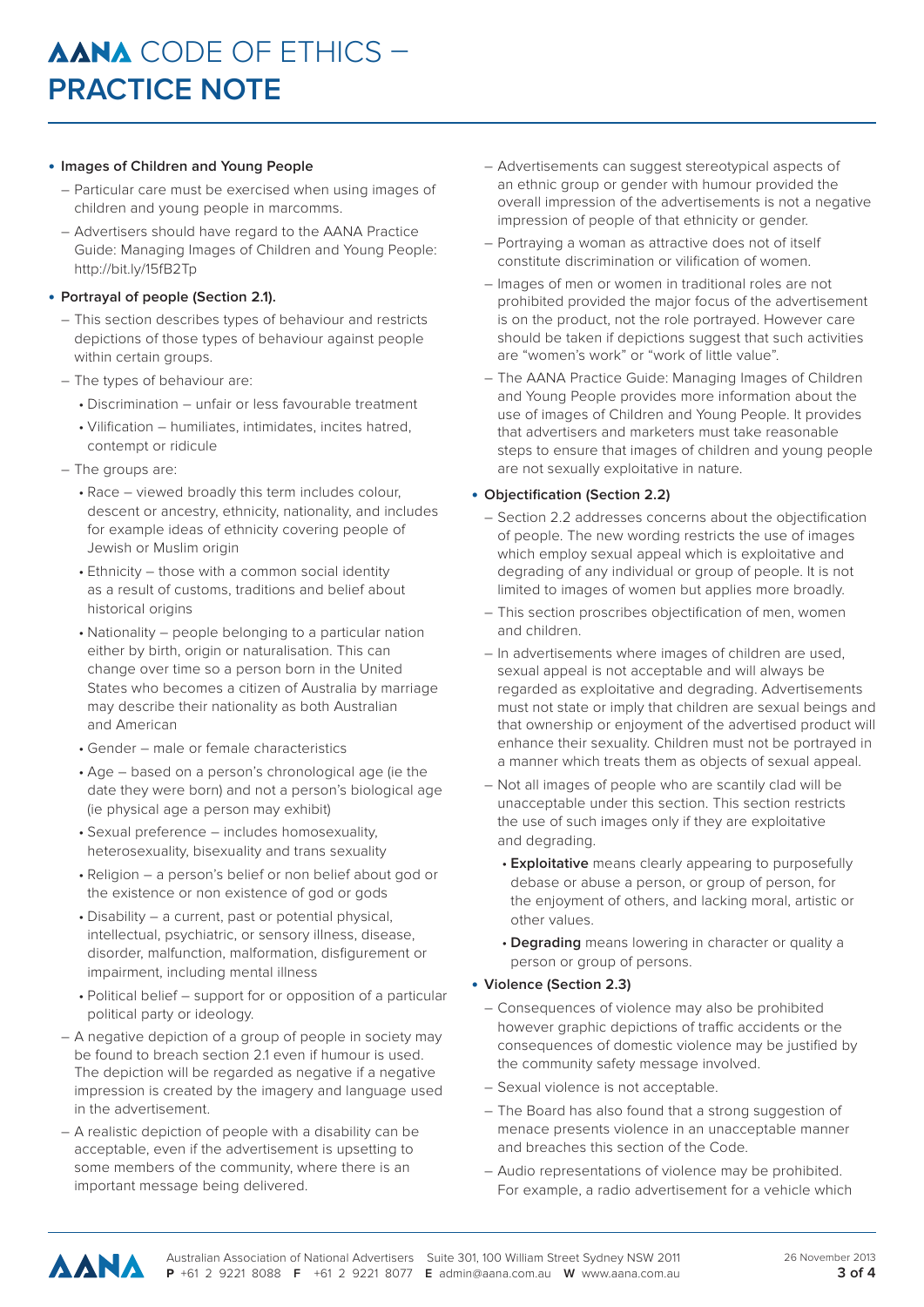#### • **Images of Children and Young People**

- Particular care must be exercised when using images of children and young people in marcomms.
- Advertisers should have regard to the AANA Practice Guide: Managing Images of Children and Young People: http://bit.ly/15fB2Tp

#### • **Portrayal of people (Section 2.1).**

- This section describes types of behaviour and restricts depictions of those types of behaviour against people within certain groups.
- The types of behaviour are:
	- Discrimination unfair or less favourable treatment
	- Vilification humiliates, intimidates, incites hatred, contempt or ridicule
- The groups are:
	- Race viewed broadly this term includes colour, descent or ancestry, ethnicity, nationality, and includes for example ideas of ethnicity covering people of Jewish or Muslim origin
	- Ethnicity those with a common social identity as a result of customs, traditions and belief about historical origins
	- Nationality people belonging to a particular nation either by birth, origin or naturalisation. This can change over time so a person born in the United States who becomes a citizen of Australia by marriage may describe their nationality as both Australian and American
	- Gender male or female characteristics
	- Age based on a person's chronological age (ie the date they were born) and not a person's biological age (ie physical age a person may exhibit)
	- Sexual preference includes homosexuality, heterosexuality, bisexuality and trans sexuality
	- Religion a person's belief or non belief about god or the existence or non existence of god or gods
	- Disability a current, past or potential physical, intellectual, psychiatric, or sensory illness, disease, disorder, malfunction, malformation, disfigurement or impairment, including mental illness
	- Political belief support for or opposition of a particular political party or ideology.
- A negative depiction of a group of people in society may be found to breach section 2.1 even if humour is used. The depiction will be regarded as negative if a negative impression is created by the imagery and language used in the advertisement.
- A realistic depiction of people with a disability can be acceptable, even if the advertisement is upsetting to some members of the community, where there is an important message being delivered.
- Advertisements can suggest stereotypical aspects of an ethnic group or gender with humour provided the overall impression of the advertisements is not a negative impression of people of that ethnicity or gender.
- Portraying a woman as attractive does not of itself constitute discrimination or vilification of women.
- Images of men or women in traditional roles are not prohibited provided the major focus of the advertisement is on the product, not the role portrayed. However care should be taken if depictions suggest that such activities are "women's work" or "work of little value".
- The AANA Practice Guide: Managing Images of Children and Young People provides more information about the use of images of Children and Young People. It provides that advertisers and marketers must take reasonable steps to ensure that images of children and young people are not sexually exploitative in nature.

#### • **Objectification (Section 2.2)**

- Section 2.2 addresses concerns about the objectification of people. The new wording restricts the use of images which employ sexual appeal which is exploitative and degrading of any individual or group of people. It is not limited to images of women but applies more broadly.
- This section proscribes objectification of men, women and children.
- In advertisements where images of children are used, sexual appeal is not acceptable and will always be regarded as exploitative and degrading. Advertisements must not state or imply that children are sexual beings and that ownership or enjoyment of the advertised product will enhance their sexuality. Children must not be portrayed in a manner which treats them as objects of sexual appeal.
- Not all images of people who are scantily clad will be unacceptable under this section. This section restricts the use of such images only if they are exploitative and degrading.
	- **Exploitative** means clearly appearing to purposefully debase or abuse a person, or group of person, for the enjoyment of others, and lacking moral, artistic or other values.
	- **Degrading** means lowering in character or quality a person or group of persons.
- **Violence (Section 2.3)**
	- Consequences of violence may also be prohibited however graphic depictions of traffic accidents or the consequences of domestic violence may be justified by the community safety message involved.
	- Sexual violence is not acceptable.
	- The Board has also found that a strong suggestion of menace presents violence in an unacceptable manner and breaches this section of the Code.
	- Audio representations of violence may be prohibited. For example, a radio advertisement for a vehicle which